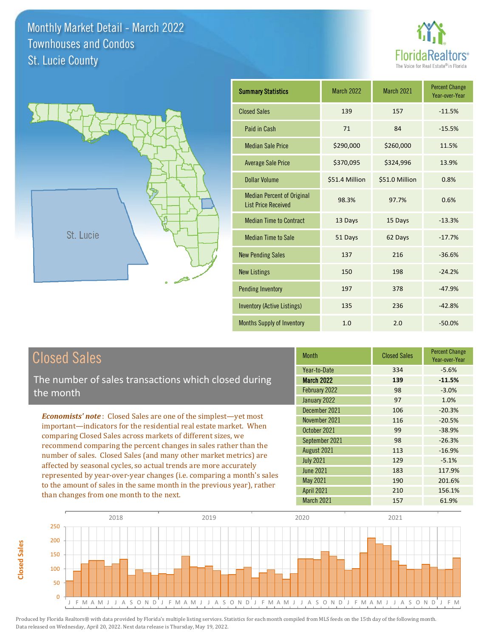



| <b>Summary Statistics</b>                                       | <b>March 2022</b> | <b>March 2021</b> | <b>Percent Change</b><br>Year-over-Year |
|-----------------------------------------------------------------|-------------------|-------------------|-----------------------------------------|
| <b>Closed Sales</b>                                             | 139               | 157               | $-11.5%$                                |
| Paid in Cash                                                    | 71                | 84                | $-15.5%$                                |
| <b>Median Sale Price</b>                                        | \$290,000         | \$260,000         | 11.5%                                   |
| <b>Average Sale Price</b>                                       | \$370,095         | \$324,996         | 13.9%                                   |
| Dollar Volume                                                   | \$51.4 Million    | \$51.0 Million    | 0.8%                                    |
| <b>Median Percent of Original</b><br><b>List Price Received</b> | 98.3%             | 97.7%             | 0.6%                                    |
| <b>Median Time to Contract</b>                                  | 13 Days           | 15 Days           | $-13.3%$                                |
| <b>Median Time to Sale</b>                                      | 51 Days           | 62 Days           | $-17.7%$                                |
| <b>New Pending Sales</b>                                        | 137               | 216               | $-36.6%$                                |
| <b>New Listings</b>                                             | 150               | 198               | $-24.2%$                                |
| <b>Pending Inventory</b>                                        | 197               | 378               | $-47.9%$                                |
| <b>Inventory (Active Listings)</b>                              | 135               | 236               | $-42.8%$                                |
| <b>Months Supply of Inventory</b>                               | 1.0               | 2.0               | $-50.0%$                                |

## Closed Sales

**Closed Sales**

**Closed Sales** 

The number of sales transactions which closed during the month

*Economists' note* : Closed Sales are one of the simplest—yet most important—indicators for the residential real estate market. When comparing Closed Sales across markets of different sizes, we recommend comparing the percent changes in sales rather than the number of sales. Closed Sales (and many other market metrics) are affected by seasonal cycles, so actual trends are more accurately represented by year-over-year changes (i.e. comparing a month's sales to the amount of sales in the same month in the previous year), rather than changes from one month to the next.

| <b>Closed Sales</b> | <b>Percent Change</b><br>Year-over-Year |
|---------------------|-----------------------------------------|
| 334                 | $-5.6%$                                 |
| 139                 | $-11.5%$                                |
| 98                  | $-3.0%$                                 |
| 97                  | 1.0%                                    |
| 106                 | $-20.3%$                                |
| 116                 | $-20.5%$                                |
| 99                  | $-38.9%$                                |
| 98                  | $-26.3%$                                |
| 113                 | $-16.9%$                                |
| 129                 | $-5.1%$                                 |
| 183                 | 117.9%                                  |
| 190                 | 201.6%                                  |
| 210                 | 156.1%                                  |
| 157                 | 61.9%                                   |
|                     |                                         |

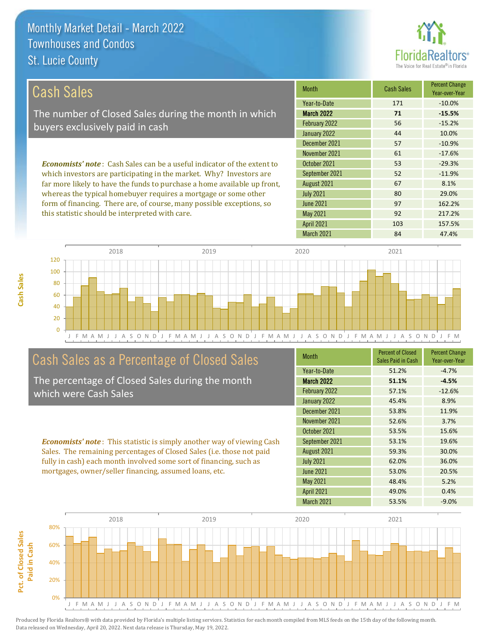**Cash Sales**



| Cash Sales                                                                     | <b>Month</b>      | <b>Cash Sales</b> | <b>Percent Change</b><br>Year-over-Year |
|--------------------------------------------------------------------------------|-------------------|-------------------|-----------------------------------------|
|                                                                                | Year-to-Date      | 171               | $-10.0\%$                               |
| The number of Closed Sales during the month in which                           | <b>March 2022</b> | 71                | $-15.5%$                                |
| buyers exclusively paid in cash                                                | February 2022     | 56                | $-15.2%$                                |
|                                                                                | January 2022      | 44                | 10.0%                                   |
|                                                                                | December 2021     | 57                | $-10.9%$                                |
|                                                                                | November 2021     | 61                | $-17.6%$                                |
| <b>Economists' note:</b> Cash Sales can be a useful indicator of the extent to | October 2021      | 53                | $-29.3%$                                |
| which investors are participating in the market. Why? Investors are            | September 2021    | 52                | $-11.9%$                                |
| far more likely to have the funds to purchase a home available up front,       | August 2021       | 67                | 8.1%                                    |
| whereas the typical homebuyer requires a mortgage or some other                | <b>July 2021</b>  | 80                | 29.0%                                   |
| form of financing. There are, of course, many possible exceptions, so          | June 2021         | 97                | 162.2%                                  |
| this statistic should be interpreted with care.                                | May 2021          | 92                | 217.2%                                  |
|                                                                                | <b>April 2021</b> | 103               | 157.5%                                  |



## Cash Sales as a Percentage of Closed Sales

The percentage of Closed Sales during the month which were Cash Sales

*Economists' note* : This statistic is simply another way of viewing Cash Sales. The remaining percentages of Closed Sales (i.e. those not paid fully in cash) each month involved some sort of financing, such as mortgages, owner/seller financing, assumed loans, etc.

| <b>Month</b>      | <b>Percent of Closed</b><br>Sales Paid in Cash | <b>Percent Change</b><br>Year-over-Year |
|-------------------|------------------------------------------------|-----------------------------------------|
| Year-to-Date      | 51.2%                                          | $-4.7%$                                 |
| <b>March 2022</b> | 51.1%                                          | $-4.5%$                                 |
| February 2022     | 57.1%                                          | $-12.6%$                                |
| January 2022      | 45.4%                                          | 8.9%                                    |
| December 2021     | 53.8%                                          | 11.9%                                   |
| November 2021     | 52.6%                                          | 3.7%                                    |
| October 2021      | 53.5%                                          | 15.6%                                   |
| September 2021    | 53.1%                                          | 19.6%                                   |
| August 2021       | 59.3%                                          | 30.0%                                   |
| <b>July 2021</b>  | 62.0%                                          | 36.0%                                   |
| <b>June 2021</b>  | 53.0%                                          | 20.5%                                   |
| <b>May 2021</b>   | 48.4%                                          | 5.2%                                    |
| <b>April 2021</b> | 49.0%                                          | 0.4%                                    |
| March 2021        | 53.5%                                          | $-9.0%$                                 |

March 2021 84 47.4%

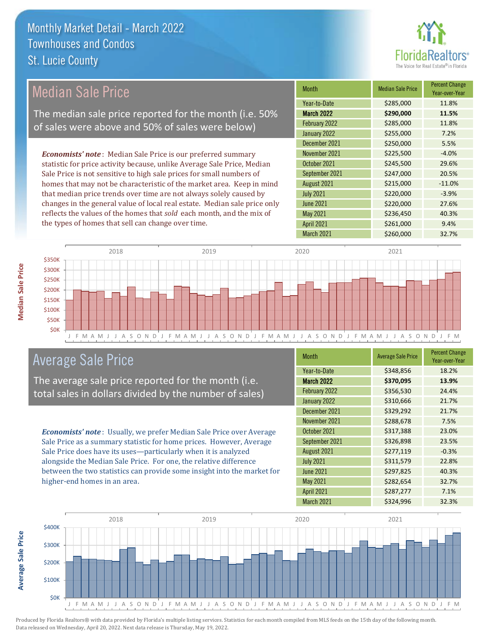

| Median Sale Price                                                         | <b>Month</b>      | <b>Median Sale Price</b> | <b>Percent Change</b><br>Year-over-Year |
|---------------------------------------------------------------------------|-------------------|--------------------------|-----------------------------------------|
|                                                                           | Year-to-Date      | \$285,000                | 11.8%                                   |
| The median sale price reported for the month (i.e. 50%                    | <b>March 2022</b> | \$290,000                | 11.5%                                   |
| of sales were above and 50% of sales were below)                          | February 2022     | \$285,000                | 11.8%                                   |
|                                                                           | January 2022      | \$255,000                | 7.2%                                    |
|                                                                           | December 2021     | \$250,000                | 5.5%                                    |
| <b>Economists' note:</b> Median Sale Price is our preferred summary       | November 2021     | \$225,500                | $-4.0%$                                 |
| statistic for price activity because, unlike Average Sale Price, Median   | October 2021      | \$245,500                | 29.6%                                   |
| Sale Price is not sensitive to high sale prices for small numbers of      | September 2021    | \$247,000                | 20.5%                                   |
| homes that may not be characteristic of the market area. Keep in mind     | August 2021       | \$215,000                | $-11.0%$                                |
| that median price trends over time are not always solely caused by        | <b>July 2021</b>  | \$220,000                | $-3.9%$                                 |
| changes in the general value of local real estate. Median sale price only | <b>June 2021</b>  | \$220,000                | 27.6%                                   |
| reflects the values of the homes that sold each month, and the mix of     | May 2021          | \$236,450                | 40.3%                                   |
| the types of homes that sell can change over time.                        | <b>April 2021</b> | \$261,000                | 9.4%                                    |



### Average Sale Price

The average sale price reported for the month (i.e. total sales in dollars divided by the number of sales)

*Economists' note* : Usually, we prefer Median Sale Price over Average Sale Price as a summary statistic for home prices. However, Average Sale Price does have its uses—particularly when it is analyzed alongside the Median Sale Price. For one, the relative difference between the two statistics can provide some insight into the market for higher-end homes in an area.

| <b>Month</b>      | <b>Average Sale Price</b> | <b>Percent Change</b><br>Year-over-Year |
|-------------------|---------------------------|-----------------------------------------|
| Year-to-Date      | \$348,856                 | 18.2%                                   |
| March 2022        | \$370,095                 | 13.9%                                   |
| February 2022     | \$356,530                 | 24.4%                                   |
| January 2022      | \$310,666                 | 21.7%                                   |
| December 2021     | \$329,292                 | 21.7%                                   |
| November 2021     | \$288,678                 | 7.5%                                    |
| October 2021      | \$317,388                 | 23.0%                                   |
| September 2021    | \$326,898                 | 23.5%                                   |
| August 2021       | \$277,119                 | $-0.3%$                                 |
| <b>July 2021</b>  | \$311,579                 | 22.8%                                   |
| <b>June 2021</b>  | \$297,825                 | 40.3%                                   |
| May 2021          | \$282,654                 | 32.7%                                   |
| <b>April 2021</b> | \$287,277                 | 7.1%                                    |
| March 2021        | \$324,996                 | 32.3%                                   |



**Median Sale Price**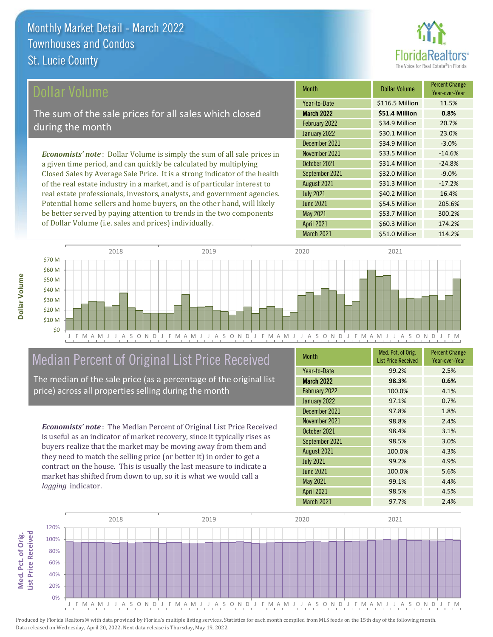

| Dollar Volume                                                                   | <b>Month</b>      | <b>Dollar Volume</b> | <b>Percent Change</b><br>Year-over-Year |
|---------------------------------------------------------------------------------|-------------------|----------------------|-----------------------------------------|
|                                                                                 | Year-to-Date      | \$116.5 Million      | 11.5%                                   |
| The sum of the sale prices for all sales which closed                           | <b>March 2022</b> | \$51.4 Million       | 0.8%                                    |
| during the month                                                                | February 2022     | \$34.9 Million       | 20.7%                                   |
|                                                                                 | January 2022      | \$30.1 Million       | 23.0%                                   |
|                                                                                 | December 2021     | \$34.9 Million       | $-3.0%$                                 |
| <b>Economists' note</b> : Dollar Volume is simply the sum of all sale prices in | November 2021     | \$33.5 Million       | $-14.6%$                                |
| a given time period, and can quickly be calculated by multiplying               | October 2021      | \$31.4 Million       | $-24.8%$                                |
| Closed Sales by Average Sale Price. It is a strong indicator of the health      | September 2021    | \$32.0 Million       | $-9.0%$                                 |
| of the real estate industry in a market, and is of particular interest to       | August 2021       | \$31.3 Million       | $-17.2%$                                |
| real estate professionals, investors, analysts, and government agencies.        | <b>July 2021</b>  | \$40.2 Million       | 16.4%                                   |
| Potential home sellers and home buyers, on the other hand, will likely          | <b>June 2021</b>  | \$54.5 Million       | 205.6%                                  |
| be better served by paying attention to trends in the two components            | May 2021          | \$53.7 Million       | 300.2%                                  |



### Median Percent of Original List Price Received

of Dollar Volume (i.e. sales and prices) individually.

The median of the sale price (as a percentage of the original list price) across all properties selling during the month

*Economists' note* : The Median Percent of Original List Price Received is useful as an indicator of market recovery, since it typically rises as buyers realize that the market may be moving away from them and they need to match the selling price (or better it) in order to get a contract on the house. This is usually the last measure to indicate a market has shifted from down to up, so it is what we would call a *lagging* indicator.

| <b>Month</b>      | Med. Pct. of Orig.<br><b>List Price Received</b> | <b>Percent Change</b><br>Year-over-Year |
|-------------------|--------------------------------------------------|-----------------------------------------|
| Year-to-Date      | 99.2%                                            | 2.5%                                    |
| <b>March 2022</b> | 98.3%                                            | 0.6%                                    |
| February 2022     | 100.0%                                           | 4.1%                                    |
| January 2022      | 97.1%                                            | 0.7%                                    |
| December 2021     | 97.8%                                            | 1.8%                                    |
| November 2021     | 98.8%                                            | 2.4%                                    |
| October 2021      | 98.4%                                            | 3.1%                                    |
| September 2021    | 98.5%                                            | 3.0%                                    |
| August 2021       | 100.0%                                           | 4.3%                                    |
| <b>July 2021</b>  | 99.2%                                            | 4.9%                                    |
| <b>June 2021</b>  | 100.0%                                           | 5.6%                                    |
| <b>May 2021</b>   | 99.1%                                            | 4.4%                                    |
| <b>April 2021</b> | 98.5%                                            | 4.5%                                    |
| <b>March 2021</b> | 97.7%                                            | 2.4%                                    |

March 2021 \$51.0 Million 114.2%

April 2021 \$60.3 Million 174.2%

May 2021



**Dollar Volume**

Dollar Volume

**Med. Pct. of Orig.** 

Med. Pct. of Orig.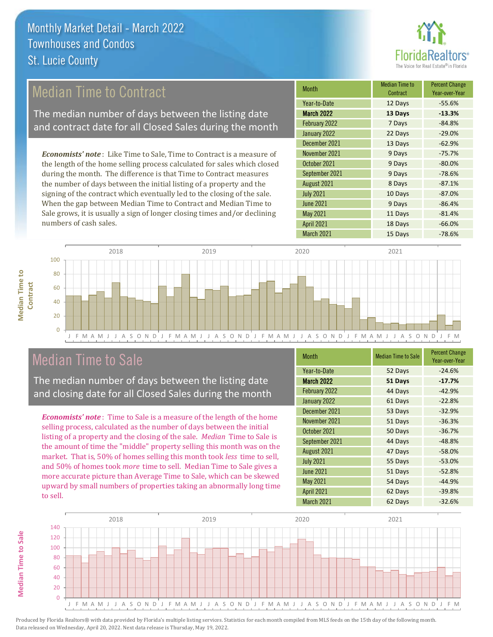

## Median Time to Contract

The median number of days between the listing date and contract date for all Closed Sales during the month

*Economists' note* : Like Time to Sale, Time to Contract is a measure of the length of the home selling process calculated for sales which closed during the month. The difference is that Time to Contract measures the number of days between the initial listing of a property and the signing of the contract which eventually led to the closing of the sale. When the gap between Median Time to Contract and Median Time to Sale grows, it is usually a sign of longer closing times and/or declining numbers of cash sales.

| <b>Month</b>      | Median Time to<br>Contract | <b>Percent Change</b><br>Year-over-Year |
|-------------------|----------------------------|-----------------------------------------|
| Year-to-Date      | 12 Days                    | $-55.6%$                                |
| <b>March 2022</b> | 13 Days                    | $-13.3%$                                |
| February 2022     | 7 Days                     | $-84.8%$                                |
| January 2022      | 22 Days                    | $-29.0%$                                |
| December 2021     | 13 Days                    | $-62.9%$                                |
| November 2021     | 9 Days                     | $-75.7%$                                |
| October 2021      | 9 Days                     | $-80.0%$                                |
| September 2021    | 9 Days                     | $-78.6%$                                |
| August 2021       | 8 Days                     | $-87.1%$                                |
| <b>July 2021</b>  | 10 Days                    | $-87.0%$                                |
| <b>June 2021</b>  | 9 Days                     | $-86.4%$                                |
| <b>May 2021</b>   | 11 Days                    | $-81.4%$                                |
| <b>April 2021</b> | 18 Days                    | $-66.0%$                                |
| March 2021        | 15 Days                    | $-78.6%$                                |



### Median Time to Sale

The median number of days between the listing date and closing date for all Closed Sales during the month

*Economists' note* : Time to Sale is a measure of the length of the home selling process, calculated as the number of days between the initial listing of a property and the closing of the sale. *Median* Time to Sale is the amount of time the "middle" property selling this month was on the market. That is, 50% of homes selling this month took *less* time to sell, and 50% of homes took *more* time to sell. Median Time to Sale gives a more accurate picture than Average Time to Sale, which can be skewed upward by small numbers of properties taking an abnormally long time to sell.

| <b>Month</b>      | <b>Median Time to Sale</b> | <b>Percent Change</b><br>Year-over-Year |
|-------------------|----------------------------|-----------------------------------------|
| Year-to-Date      | 52 Days                    | $-24.6%$                                |
| March 2022        | 51 Days                    | $-17.7%$                                |
| February 2022     | 44 Days                    | $-42.9%$                                |
| January 2022      | 61 Days                    | $-22.8%$                                |
| December 2021     | 53 Days                    | $-32.9%$                                |
| November 2021     | 51 Days                    | $-36.3%$                                |
| October 2021      | 50 Days                    | $-36.7%$                                |
| September 2021    | 44 Days                    | $-48.8%$                                |
| August 2021       | 47 Days                    | $-58.0%$                                |
| <b>July 2021</b>  | 55 Days                    | $-53.0%$                                |
| <b>June 2021</b>  | 51 Days                    | $-52.8%$                                |
| May 2021          | 54 Days                    | $-44.9%$                                |
| <b>April 2021</b> | 62 Days                    | $-39.8%$                                |
| March 2021        | 62 Days                    | $-32.6%$                                |

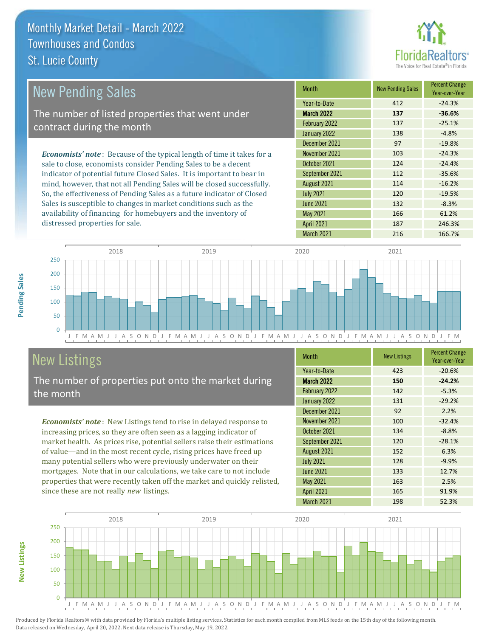distressed properties for sale.



| <b>New Pending Sales</b>                                                      | <b>Month</b>      | <b>New Pending Sales</b> | <b>Percent Change</b><br>Year-over-Year |
|-------------------------------------------------------------------------------|-------------------|--------------------------|-----------------------------------------|
|                                                                               | Year-to-Date      | 412                      | $-24.3%$                                |
| The number of listed properties that went under                               | <b>March 2022</b> | 137                      | $-36.6%$                                |
| contract during the month                                                     | February 2022     | 137                      | $-25.1%$                                |
|                                                                               | January 2022      | 138                      | $-4.8%$                                 |
|                                                                               | December 2021     | 97                       | $-19.8%$                                |
| <b>Economists' note:</b> Because of the typical length of time it takes for a | November 2021     | 103                      | $-24.3%$                                |
| sale to close, economists consider Pending Sales to be a decent               | October 2021      | 124                      | $-24.4%$                                |
| indicator of potential future Closed Sales. It is important to bear in        | September 2021    | 112                      | $-35.6%$                                |
| mind, however, that not all Pending Sales will be closed successfully.        | August 2021       | 114                      | $-16.2%$                                |
| So, the effectiveness of Pending Sales as a future indicator of Closed        | <b>July 2021</b>  | 120                      | $-19.5%$                                |
| Sales is susceptible to changes in market conditions such as the              | <b>June 2021</b>  | 132                      | $-8.3%$                                 |
| availability of financing for homebuyers and the inventory of                 | May 2021          | 166                      | 61.2%                                   |

J F M A M J J A S O N D J F M A M J J A S O N D J F M A M J J A S O N D J F M A M J J A S O N D J F M  $\overline{0}$ 50 100 150 200 250 2018 2019 2020 2021

## New Listings

The number of properties put onto the market during the month

*Economists' note* : New Listings tend to rise in delayed response to increasing prices, so they are often seen as a lagging indicator of market health. As prices rise, potential sellers raise their estimations of value—and in the most recent cycle, rising prices have freed up many potential sellers who were previously underwater on their mortgages. Note that in our calculations, we take care to not include properties that were recently taken off the market and quickly relisted, since these are not really *new* listings.

| <b>Month</b>      | <b>New Listings</b> | <b>Percent Change</b><br>Year-over-Year |
|-------------------|---------------------|-----------------------------------------|
| Year-to-Date      | 423                 | $-20.6%$                                |
| <b>March 2022</b> | 150                 | $-24.2%$                                |
| February 2022     | 142                 | $-5.3%$                                 |
| January 2022      | 131                 | $-29.2%$                                |
| December 2021     | 92                  | 2.2%                                    |
| November 2021     | 100                 | $-32.4%$                                |
| October 2021      | 134                 | $-8.8%$                                 |
| September 2021    | 120                 | $-28.1%$                                |
| August 2021       | 152                 | 6.3%                                    |
| <b>July 2021</b>  | 128                 | $-9.9%$                                 |
| <b>June 2021</b>  | 133                 | 12.7%                                   |
| May 2021          | 163                 | 2.5%                                    |
| <b>April 2021</b> | 165                 | 91.9%                                   |
| March 2021        | 198                 | 52.3%                                   |

April 2021 187 246.3% March 2021 216 216 166.7%



**New Listings**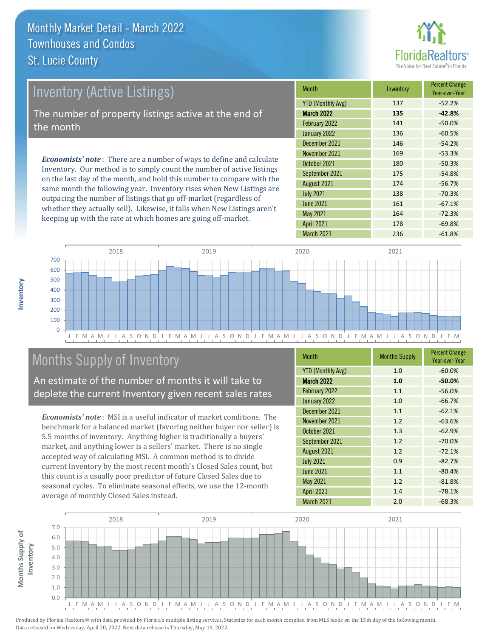

| <b>Inventory (Active Listings)</b>                                                                                                                    | <b>Month</b>      | Inventory | <b>Percent Change</b><br>Year-over-Year |
|-------------------------------------------------------------------------------------------------------------------------------------------------------|-------------------|-----------|-----------------------------------------|
|                                                                                                                                                       | YTD (Monthly Avg) | 137       | $-52.2%$                                |
| The number of property listings active at the end of                                                                                                  | <b>March 2022</b> | 135       | $-42.8%$                                |
| the month                                                                                                                                             | February 2022     | 141       | $-50.0%$                                |
|                                                                                                                                                       | January 2022      | 136       | $-60.5%$                                |
|                                                                                                                                                       | December 2021     | 146       | $-54.2%$                                |
| <b>Economists' note:</b> There are a number of ways to define and calculate<br>Inventory. Our method is to simply count the number of active listings | November 2021     | 169       | $-53.3%$                                |
|                                                                                                                                                       | October 2021      | 180       | $-50.3%$                                |
|                                                                                                                                                       | Contambor 2021    | 17E       | $TA$ O <sub>0</sub> /                   |

on the last day of the month, and hold this number to compare with the same month the following year. Inventory rises when New Listings are outpacing the number of listings that go off-market (regardless of whether they actually sell). Likewise, it falls when New Listings aren't keeping up with the rate at which homes are going off-market.

| Month                    | Inventory | Year-over-Year |
|--------------------------|-----------|----------------|
| <b>YTD (Monthly Avg)</b> | 137       | $-52.2%$       |
| <b>March 2022</b>        | 135       | $-42.8%$       |
| February 2022            | 141       | $-50.0%$       |
| January 2022             | 136       | $-60.5%$       |
| December 2021            | 146       | $-54.2%$       |
| November 2021            | 169       | $-53.3%$       |
| October 2021             | 180       | $-50.3%$       |
| September 2021           | 175       | $-54.8%$       |
| August 2021              | 174       | $-56.7%$       |
| <b>July 2021</b>         | 138       | $-70.3%$       |
| <b>June 2021</b>         | 161       | $-67.1%$       |
| May 2021                 | 164       | $-72.3%$       |
| <b>April 2021</b>        | 178       | $-69.8%$       |
| <b>March 2021</b>        | 236       | $-61.8%$       |



## Months Supply of Inventory

An estimate of the number of months it will take to deplete the current Inventory given recent sales rates

*Economists' note* : MSI is a useful indicator of market conditions. The benchmark for a balanced market (favoring neither buyer nor seller) is 5.5 months of inventory. Anything higher is traditionally a buyers' market, and anything lower is a sellers' market. There is no single accepted way of calculating MSI. A common method is to divide current Inventory by the most recent month's Closed Sales count, but this count is a usually poor predictor of future Closed Sales due to seasonal cycles. To eliminate seasonal effects, we use the 12-month average of monthly Closed Sales instead.

| <b>Month</b>             | <b>Months Supply</b> | <b>Percent Change</b><br>Year-over-Year |
|--------------------------|----------------------|-----------------------------------------|
| <b>YTD (Monthly Avg)</b> | 1.0                  | $-60.0%$                                |
| <b>March 2022</b>        | 1.0                  | $-50.0%$                                |
| February 2022            | 1.1                  | $-56.0%$                                |
| January 2022             | 1.0                  | $-66.7%$                                |
| December 2021            | 1.1                  | $-62.1%$                                |
| November 2021            | 1.2                  | $-63.6%$                                |
| October 2021             | 1.3                  | $-62.9%$                                |
| September 2021           | 1.2                  | $-70.0%$                                |
| August 2021              | 1.2                  | $-72.1%$                                |
| <b>July 2021</b>         | 0.9                  | $-82.7%$                                |
| <b>June 2021</b>         | 1.1                  | $-80.4%$                                |
| <b>May 2021</b>          | 1.2                  | $-81.8%$                                |
| <b>April 2021</b>        | 1.4                  | $-78.1%$                                |
| March 2021               | 2.0                  | $-68.3%$                                |



**Months Supply of** 

Months Supply of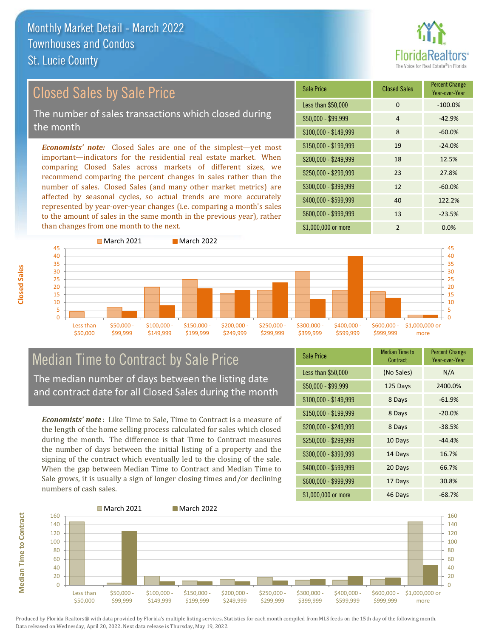## Closed Sales by Sale Price

The number of sales transactions which closed during the month

*Economists' note:* Closed Sales are one of the simplest—yet most important—indicators for the residential real estate market. When comparing Closed Sales across markets of different sizes, we recommend comparing the percent changes in sales rather than the number of sales. Closed Sales (and many other market metrics) are affected by seasonal cycles, so actual trends are more accurately represented by year-over-year changes (i.e. comparing a month's sales to the amount of sales in the same month in the previous year), rather than changes from one month to the next.

| Sale Price            | <b>Closed Sales</b> | <b>Percent Change</b><br>Year-over-Year |
|-----------------------|---------------------|-----------------------------------------|
| Less than \$50,000    | $\Omega$            | $-100.0%$                               |
| $$50,000 - $99,999$   | 4                   | $-42.9%$                                |
| $$100,000 - $149,999$ | 8                   | $-60.0%$                                |
| $$150,000 - $199,999$ | 19                  | $-24.0%$                                |
| $$200,000 - $249,999$ | 18                  | 12.5%                                   |
| \$250,000 - \$299,999 | 23                  | 27.8%                                   |
| \$300,000 - \$399,999 | 12                  | $-60.0%$                                |
| \$400,000 - \$599,999 | 40                  | 122.2%                                  |
| \$600,000 - \$999,999 | 13                  | $-23.5%$                                |
| \$1,000,000 or more   | $\mathfrak{p}$      | 0.0%                                    |



# Median Time to Contract by Sale Price

The median number of days between the listing date and contract date for all Closed Sales during the month

*Economists' note* : Like Time to Sale, Time to Contract is a measure of the length of the home selling process calculated for sales which closed during the month. The difference is that Time to Contract measures the number of days between the initial listing of a property and the signing of the contract which eventually led to the closing of the sale. When the gap between Median Time to Contract and Median Time to Sale grows, it is usually a sign of longer closing times and/or declining numbers of cash sales.

| <b>Sale Price</b>     | <b>Median Time to</b><br>Contract | <b>Percent Change</b><br>Year-over-Year |
|-----------------------|-----------------------------------|-----------------------------------------|
| Less than \$50,000    | (No Sales)                        | N/A                                     |
| $$50,000 - $99,999$   | 125 Days                          | 2400.0%                                 |
| $$100,000 - $149,999$ | 8 Days                            | $-61.9%$                                |
| $$150,000 - $199,999$ | 8 Days                            | $-20.0%$                                |
| \$200,000 - \$249,999 | 8 Days                            | $-38.5%$                                |
| \$250,000 - \$299,999 | 10 Days                           | $-44.4%$                                |
| \$300,000 - \$399,999 | 14 Days                           | 16.7%                                   |
| \$400,000 - \$599,999 | 20 Days                           | 66.7%                                   |
| \$600,000 - \$999,999 | 17 Days                           | 30.8%                                   |
| \$1,000,000 or more   | 46 Days                           | $-68.7%$                                |



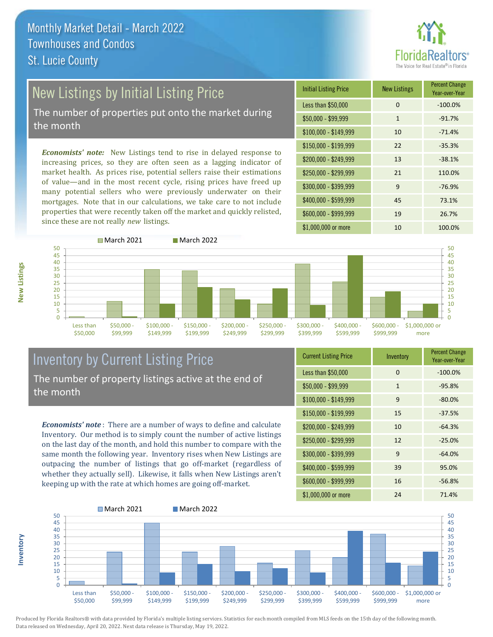

# New Listings by Initial Listing Price

The number of properties put onto the market during the month

*Economists' note:* New Listings tend to rise in delayed response to increasing prices, so they are often seen as a lagging indicator of market health. As prices rise, potential sellers raise their estimations of value—and in the most recent cycle, rising prices have freed up many potential sellers who were previously underwater on their mortgages. Note that in our calculations, we take care to not include properties that were recently taken off the market and quickly relisted, since these are not really *new* listings.





#### Inventory by Current Listing Price The number of property listings active at the end of the month

*Economists' note* : There are a number of ways to define and calculate Inventory. Our method is to simply count the number of active listings on the last day of the month, and hold this number to compare with the same month the following year. Inventory rises when New Listings are outpacing the number of listings that go off-market (regardless of whether they actually sell). Likewise, it falls when New Listings aren't keeping up with the rate at which homes are going off-market.

| <b>Current Listing Price</b> | Inventory    | <b>Percent Change</b><br>Year-over-Year |
|------------------------------|--------------|-----------------------------------------|
| Less than \$50,000           | 0            | $-100.0%$                               |
| $$50,000 - $99,999$          | $\mathbf{1}$ | $-95.8%$                                |
| $$100,000 - $149,999$        | 9            | $-80.0%$                                |
| $$150,000 - $199,999$        | 15           | $-37.5%$                                |
| $$200,000 - $249,999$        | 10           | $-64.3%$                                |
| $$250,000 - $299,999$        | 12           | $-25.0%$                                |
| \$300,000 - \$399,999        | 9            | $-64.0%$                                |
| \$400,000 - \$599,999        | 39           | 95.0%                                   |
| \$600,000 - \$999,999        | 16           | $-56.8%$                                |
| \$1,000,000 or more          | 24           | 71.4%                                   |



Produced by Florida Realtors® with data provided by Florida's multiple listing services. Statistics for each month compiled from MLS feeds on the 15th day of the following month. Data released on Wednesday, April 20, 2022. Next data release is Thursday, May 19, 2022.

**Inventory**